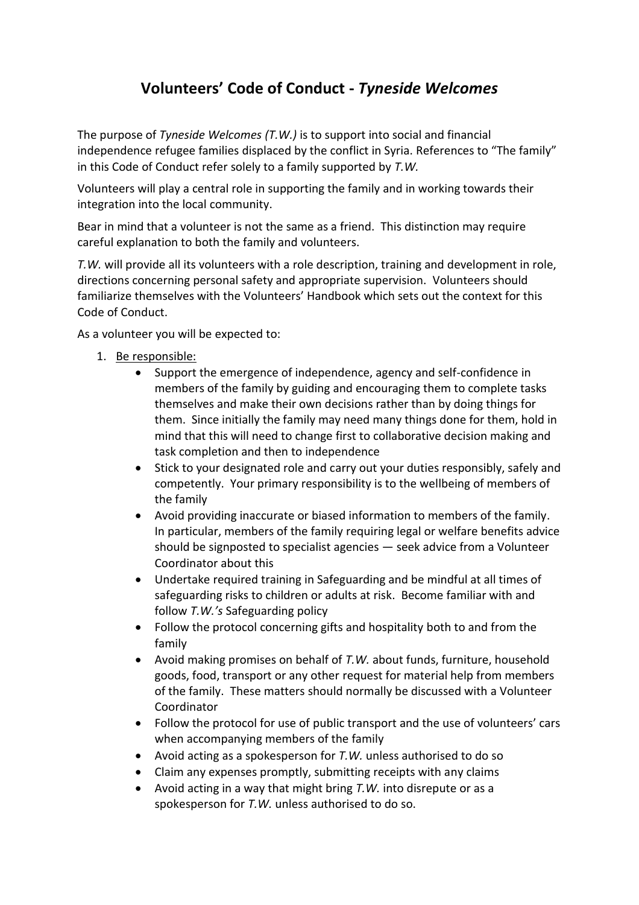## **Volunteers' Code of Conduct -** *Tyneside Welcomes*

The purpose of *Tyneside Welcomes (T.W.)* is to support into social and financial independence refugee families displaced by the conflict in Syria. References to "The family" in this Code of Conduct refer solely to a family supported by *T.W.*

Volunteers will play a central role in supporting the family and in working towards their integration into the local community.

Bear in mind that a volunteer is not the same as a friend. This distinction may require careful explanation to both the family and volunteers.

*T.W.* will provide all its volunteers with a role description, training and development in role, directions concerning personal safety and appropriate supervision. Volunteers should familiarize themselves with the Volunteers' Handbook which sets out the context for this Code of Conduct.

As a volunteer you will be expected to:

- 1. Be responsible:
	- Support the emergence of independence, agency and self-confidence in members of the family by guiding and encouraging them to complete tasks themselves and make their own decisions rather than by doing things for them. Since initially the family may need many things done for them, hold in mind that this will need to change first to collaborative decision making and task completion and then to independence
	- Stick to your designated role and carry out your duties responsibly, safely and competently. Your primary responsibility is to the wellbeing of members of the family
	- Avoid providing inaccurate or biased information to members of the family. In particular, members of the family requiring legal or welfare benefits advice should be signposted to specialist agencies — seek advice from a Volunteer Coordinator about this
	- Undertake required training in Safeguarding and be mindful at all times of safeguarding risks to children or adults at risk. Become familiar with and follow *T.W.'s* Safeguarding policy
	- Follow the protocol concerning gifts and hospitality both to and from the family
	- Avoid making promises on behalf of *T.W.* about funds, furniture, household goods, food, transport or any other request for material help from members of the family. These matters should normally be discussed with a Volunteer Coordinator
	- Follow the protocol for use of public transport and the use of volunteers' cars when accompanying members of the family
	- Avoid acting as a spokesperson for *T.W.* unless authorised to do so
	- Claim any expenses promptly, submitting receipts with any claims
	- Avoid acting in a way that might bring *T.W.* into disrepute or as a spokesperson for *T.W.* unless authorised to do so.